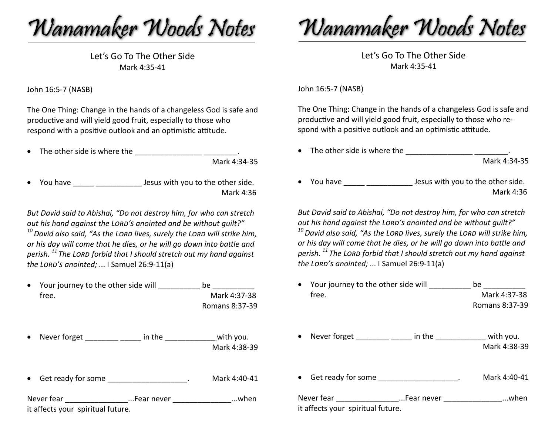Wanamaker Woods Notes

Let's Go To The Other Side Mark 4:35-41

John 16:5-7 (NASB)

The One Thing: Change in the hands of a changeless God is safe and productive and will yield good fruit, especially to those who respond with a positive outlook and an optimistic attitude.

• The other side is where the  $\cdot$ 

Mark 4:34-35

• You have **Late is the set of the other side.** Mark 4:36

*But David said to Abishai, "Do not destroy him, for who can stretch out his hand against the Lord's anointed and be without guilt?" 10David also said, "As the Lord lives, surely the Lord will strike him, or his day will come that he dies, or he will go down into batle and perish. <sup>11</sup> The Lord forbid that I should stretch out my hand against the Lord's anointed; ...* I Samuel 26:9-11(a)

| • Your journey to the other side will | be               |
|---------------------------------------|------------------|
| tree.                                 | Mark 4:37-38     |
|                                       | Romans $8.37-39$ |

• Never forget  $\frac{1}{\sqrt{2}}$  in the  $\frac{1}{\sqrt{2}}$  with you. Mark 4:38-39

• Get ready for some example and the Mark 4:40-41

Never fear \_\_\_\_\_\_\_\_\_\_\_\_\_\_\_...Fear never \_\_\_\_\_\_\_\_\_\_\_\_\_\_...when it afects your spiritual future.

Wanamaker Woods Notes

Let's Go To The Other Side Mark 4:35-41

John 16:5-7 (NASB)

The One Thing: Change in the hands of a changeless God is safe and productive and will yield good fruit, especially to those who respond with a positive outlook and an optimistic attitude.

- The other side is where the  $\frac{1}{2}$   $\frac{1}{2}$   $\frac{1}{2}$   $\frac{1}{2}$   $\frac{1}{2}$   $\frac{1}{2}$   $\frac{1}{2}$   $\frac{1}{2}$   $\frac{1}{2}$   $\frac{1}{2}$   $\frac{1}{2}$   $\frac{1}{2}$   $\frac{1}{2}$   $\frac{1}{2}$   $\frac{1}{2}$   $\frac{1}{2}$   $\frac{1}{2}$   $\frac{1}{2}$   $\frac{1}{2}$  Mark 4:34-35
- You have **Lesus with you to the other side.** Mark 4:36

*But David said to Abishai, "Do not destroy him, for who can stretch out his hand against the Lord's anointed and be without guilt?"*

*10David also said, "As the Lord lives, surely the Lord will strike him, or his day will come that he dies, or he will go down into batle and perish. <sup>11</sup> The Lord forbid that I should stretch out my hand against the Lord's anointed; ...* I Samuel 26:9-11(a)

• Your journey to the other side will \_\_\_\_\_\_\_\_\_\_ be \_\_\_\_\_\_\_\_\_\_ free. Mark 4:37-38

Romans 8:37-39

- Never forget  $\frac{1}{2}$  n the  $\frac{1}{2}$  in the  $\frac{1}{2}$  with you. Mark 4:38-39
- Get ready for some \_\_\_\_\_\_\_\_\_\_\_\_\_\_\_\_\_\_\_\_. Mark 4:40-41

Never fear \_\_\_\_\_\_\_\_\_\_\_\_\_\_\_\_\_\_\_\_...Fear never \_\_\_\_\_\_\_\_\_\_\_\_\_\_\_\_\_\_...when it afects your spiritual future.